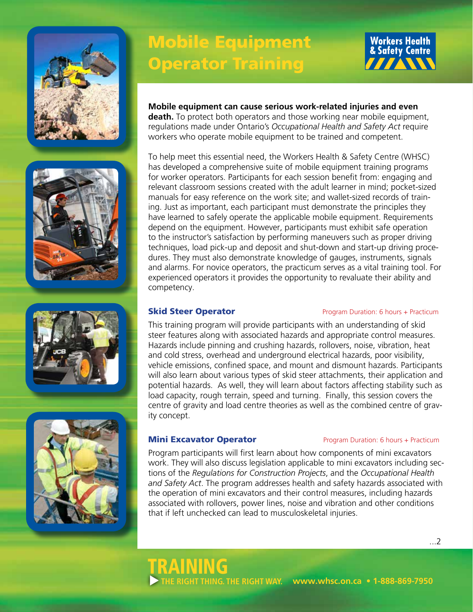







# Mobile Equipment Operator Training



### **Mobile equipment can cause serious work-related injuries and even**

**death.** To protect both operators and those working near mobile equipment, regulations made under Ontario's *Occupational Health and Safety Act* require workers who operate mobile equipment to be trained and competent.

To help meet this essential need, the Workers Health & Safety Centre (WHSC) has developed a comprehensive suite of mobile equipment training programs for worker operators. Participants for each session benefit from: engaging and relevant classroom sessions created with the adult learner in mind; pocket-sized manuals for easy reference on the work site; and wallet-sized records of training. Just as important, each participant must demonstrate the principles they have learned to safely operate the applicable mobile equipment. Requirements depend on the equipment. However, participants must exhibit safe operation to the instructor's satisfaction by performing maneuvers such as proper driving techniques, load pick-up and deposit and shut-down and start-up driving procedures. They must also demonstrate knowledge of gauges, instruments, signals and alarms. For novice operators, the practicum serves as a vital training tool. For experienced operators it provides the opportunity to revaluate their ability and competency.

### **Skid Steer Operator Program Duration: 6 hours + Practicum**

This training program will provide participants with an understanding of skid steer features along with associated hazards and appropriate control measures. Hazards include pinning and crushing hazards, rollovers, noise, vibration, heat and cold stress, overhead and underground electrical hazards, poor visibility, vehicle emissions, confined space, and mount and dismount hazards. Participants will also learn about various types of skid steer attachments, their application and potential hazards. As well, they will learn about factors affecting stability such as load capacity, rough terrain, speed and turning. Finally, this session covers the centre of gravity and load centre theories as well as the combined centre of gravity concept.

TRAINING

**THE RIGHT THING. THE RIGHT WAY.**

### **Mini Excavator Operator Program Duration: 6 hours + Practicum**

 **www.whsc.on.ca • 1-888-869-7950**

Program participants will first learn about how components of mini excavators work. They will also discuss legislation applicable to mini excavators including sections of the *Regulations for Construction Projects*, and the *Occupational Health and Safety Act*. The program addresses health and safety hazards associated with the operation of mini excavators and their control measures, including hazards associated with rollovers, power lines, noise and vibration and other conditions that if left unchecked can lead to musculoskeletal injuries.